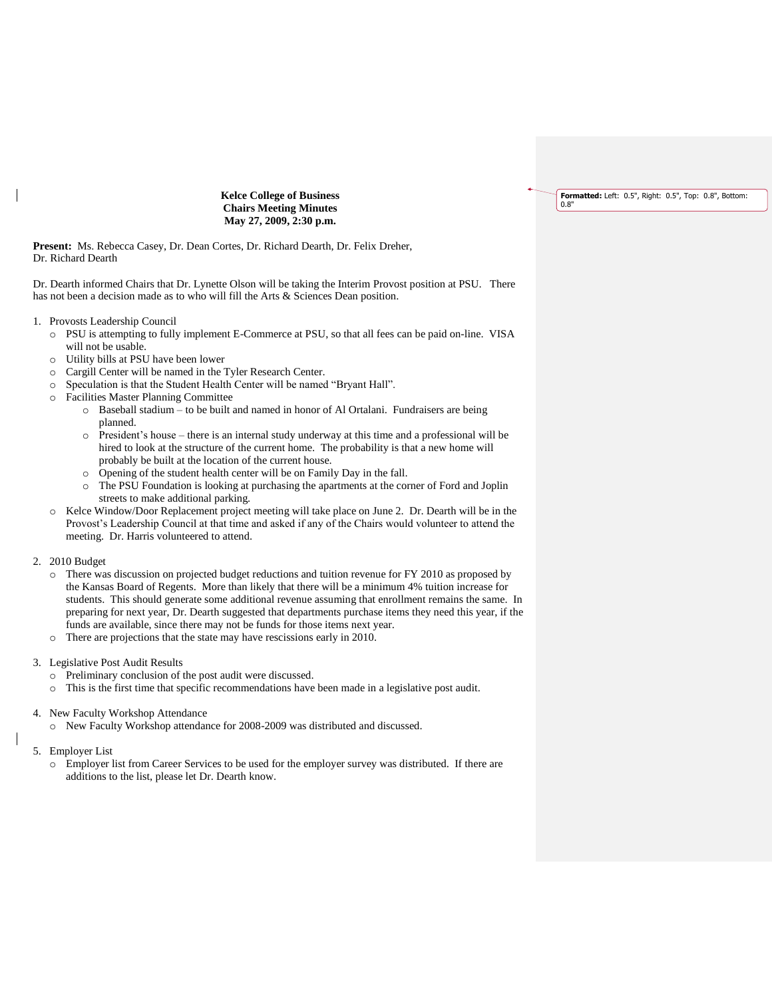**Formatted:** Left: 0.5", Right: 0.5", Top: 0.8", Bottom: 0.8"

**Kelce College of Business Chairs Meeting Minutes May 27, 2009, 2:30 p.m.**

**Present:** Ms. Rebecca Casey, Dr. Dean Cortes, Dr. Richard Dearth, Dr. Felix Dreher, Dr. Richard Dearth

Dr. Dearth informed Chairs that Dr. Lynette Olson will be taking the Interim Provost position at PSU. There has not been a decision made as to who will fill the Arts & Sciences Dean position.

- 1. Provosts Leadership Council
	- o PSU is attempting to fully implement E-Commerce at PSU, so that all fees can be paid on-line. VISA will not be usable.
	- o Utility bills at PSU have been lower
	- o Cargill Center will be named in the Tyler Research Center.
	- o Speculation is that the Student Health Center will be named "Bryant Hall".
	- o Facilities Master Planning Committee
		- o Baseball stadium to be built and named in honor of Al Ortalani. Fundraisers are being planned.
		- o President's house there is an internal study underway at this time and a professional will be hired to look at the structure of the current home. The probability is that a new home will probably be built at the location of the current house.
		- o Opening of the student health center will be on Family Day in the fall.
		- o The PSU Foundation is looking at purchasing the apartments at the corner of Ford and Joplin streets to make additional parking.
	- Kelce Window/Door Replacement project meeting will take place on June 2. Dr. Dearth will be in the Provost's Leadership Council at that time and asked if any of the Chairs would volunteer to attend the meeting. Dr. Harris volunteered to attend.
- 2. 2010 Budget
	- o There was discussion on projected budget reductions and tuition revenue for FY 2010 as proposed by the Kansas Board of Regents. More than likely that there will be a minimum 4% tuition increase for students. This should generate some additional revenue assuming that enrollment remains the same. In preparing for next year, Dr. Dearth suggested that departments purchase items they need this year, if the funds are available, since there may not be funds for those items next year.
	- o There are projections that the state may have rescissions early in 2010.
- 3. Legislative Post Audit Results
	- o Preliminary conclusion of the post audit were discussed.
	- o This is the first time that specific recommendations have been made in a legislative post audit.
- 4. New Faculty Workshop Attendance
	- o New Faculty Workshop attendance for 2008-2009 was distributed and discussed.
- 5. Employer List
	- o Employer list from Career Services to be used for the employer survey was distributed. If there are additions to the list, please let Dr. Dearth know.